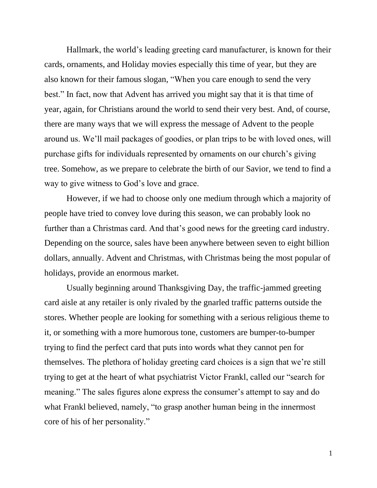Hallmark, the world's leading greeting card manufacturer, is known for their cards, ornaments, and Holiday movies especially this time of year, but they are also known for their famous slogan, "When you care enough to send the very best." In fact, now that Advent has arrived you might say that it is that time of year, again, for Christians around the world to send their very best. And, of course, there are many ways that we will express the message of Advent to the people around us. We'll mail packages of goodies, or plan trips to be with loved ones, will purchase gifts for individuals represented by ornaments on our church's giving tree. Somehow, as we prepare to celebrate the birth of our Savior, we tend to find a way to give witness to God's love and grace.

However, if we had to choose only one medium through which a majority of people have tried to convey love during this season, we can probably look no further than a Christmas card. And that's good news for the greeting card industry. Depending on the source, sales have been anywhere between seven to eight billion dollars, annually. Advent and Christmas, with Christmas being the most popular of holidays, provide an enormous market.

Usually beginning around Thanksgiving Day, the traffic-jammed greeting card aisle at any retailer is only rivaled by the gnarled traffic patterns outside the stores. Whether people are looking for something with a serious religious theme to it, or something with a more humorous tone, customers are bumper-to-bumper trying to find the perfect card that puts into words what they cannot pen for themselves. The plethora of holiday greeting card choices is a sign that we're still trying to get at the heart of what psychiatrist Victor Frankl, called our "search for meaning." The sales figures alone express the consumer's attempt to say and do what Frankl believed, namely, "to grasp another human being in the innermost core of his of her personality."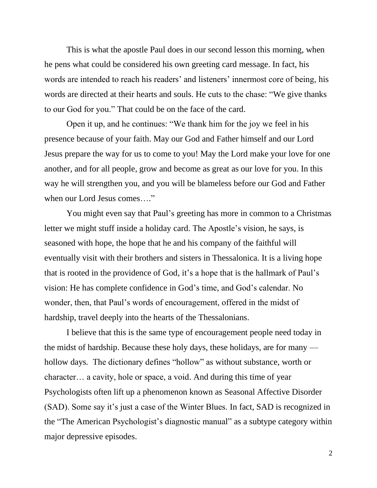This is what the apostle Paul does in our second lesson this morning, when he pens what could be considered his own greeting card message. In fact, his words are intended to reach his readers' and listeners' innermost core of being, his words are directed at their hearts and souls. He cuts to the chase: "We give thanks to our God for you." That could be on the face of the card.

Open it up, and he continues: "We thank him for the joy we feel in his presence because of your faith. May our God and Father himself and our Lord Jesus prepare the way for us to come to you! May the Lord make your love for one another, and for all people, grow and become as great as our love for you. In this way he will strengthen you, and you will be blameless before our God and Father when our Lord Jesus comes…."

You might even say that Paul's greeting has more in common to a Christmas letter we might stuff inside a holiday card. The Apostle's vision, he says, is seasoned with hope, the hope that he and his company of the faithful will eventually visit with their brothers and sisters in Thessalonica. It is a living hope that is rooted in the providence of God, it's a hope that is the hallmark of Paul's vision: He has complete confidence in God's time, and God's calendar. No wonder, then, that Paul's words of encouragement, offered in the midst of hardship, travel deeply into the hearts of the Thessalonians.

I believe that this is the same type of encouragement people need today in the midst of hardship. Because these holy days, these holidays, are for many hollow days*.* The dictionary defines "hollow" as without substance, worth or character… a cavity, hole or space, a void. And during this time of year Psychologists often lift up a phenomenon known as Seasonal Affective Disorder (SAD). Some say it's just a case of the Winter Blues. In fact, SAD is recognized in the "The American Psychologist's diagnostic manual" as a subtype category within major depressive episodes.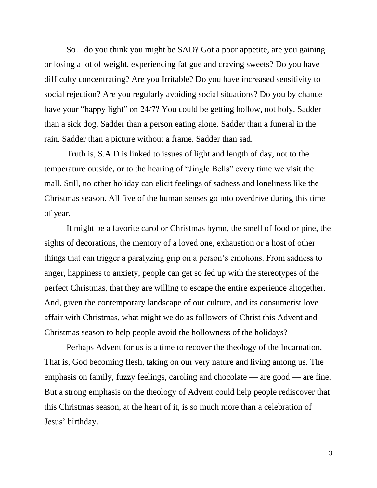So…do you think you might be SAD? Got a poor appetite, are you gaining or losing a lot of weight, experiencing fatigue and craving sweets? Do you have difficulty concentrating? Are you Irritable? Do you have increased sensitivity to social rejection? Are you regularly avoiding social situations? Do you by chance have your "happy light" on 24/7? You could be getting hollow, not holy. Sadder than a sick dog. Sadder than a person eating alone. Sadder than a funeral in the rain. Sadder than a picture without a frame. Sadder than sad.

Truth is, S.A.D is linked to issues of light and length of day, not to the temperature outside, or to the hearing of "Jingle Bells" every time we visit the mall. Still, no other holiday can elicit feelings of sadness and loneliness like the Christmas season. All five of the human senses go into overdrive during this time of year.

It might be a favorite carol or Christmas hymn, the smell of food or pine, the sights of decorations, the memory of a loved one, exhaustion or a host of other things that can trigger a paralyzing grip on a person's emotions. From sadness to anger, happiness to anxiety, people can get so fed up with the stereotypes of the perfect Christmas, that they are willing to escape the entire experience altogether. And, given the contemporary landscape of our culture, and its consumerist love affair with Christmas, what might we do as followers of Christ this Advent and Christmas season to help people avoid the hollowness of the holidays?

Perhaps Advent for us is a time to recover the theology of the Incarnation. That is, God becoming flesh, taking on our very nature and living among us. The emphasis on family, fuzzy feelings, caroling and chocolate — are good — are fine. But a strong emphasis on the theology of Advent could help people rediscover that this Christmas season, at the heart of it, is so much more than a celebration of Jesus' birthday.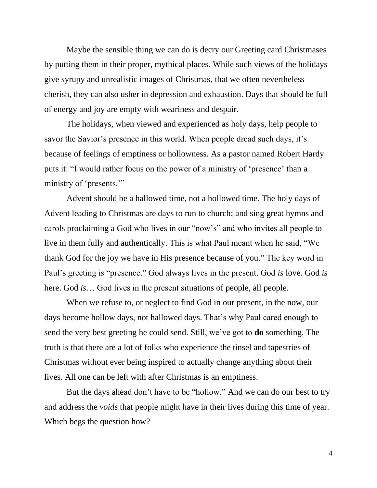Maybe the sensible thing we can do is decry our Greeting card Christmases by putting them in their proper, mythical places. While such views of the holidays give syrupy and unrealistic images of Christmas, that we often nevertheless cherish, they can also usher in depression and exhaustion. Days that should be full of energy and joy are empty with weariness and despair.

The holidays, when viewed and experienced as holy days, help people to savor the Savior's presence in this world. When people dread such days, it's because of feelings of emptiness or hollowness. As a pastor named Robert Hardy puts it: "I would rather focus on the power of a ministry of 'presence' than a ministry of 'presents.'"

Advent should be a hallowed time, not a hollowed time. The holy days of Advent leading to Christmas are days to run to church; and sing great hymns and carols proclaiming a God who lives in our "now's" and who invites all people to live in them fully and authentically. This is what Paul meant when he said, "We thank God for the joy we have in His presence because of you." The key word in Paul's greeting is "presence." God always lives in the present. God *is* love. God *is* here. God *is*… God lives in the present situations of people, all people.

When we refuse to, or neglect to find God in our present, in the now, our days become hollow days, not hallowed days. That's why Paul cared enough to send the very best greeting he could send. Still, we've got to **do** something. The truth is that there are a lot of folks who experience the tinsel and tapestries of Christmas without ever being inspired to actually change anything about their lives. All one can be left with after Christmas is an emptiness.

But the days ahead don't have to be "hollow." And we can do our best to try and address the *voids* that people might have in their lives during this time of year. Which begs the question how?

4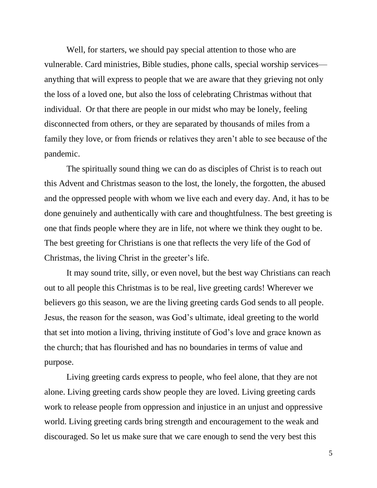Well, for starters, we should pay special attention to those who are vulnerable. Card ministries, Bible studies, phone calls, special worship services anything that will express to people that we are aware that they grieving not only the loss of a loved one, but also the loss of celebrating Christmas without that individual. Or that there are people in our midst who may be lonely, feeling disconnected from others, or they are separated by thousands of miles from a family they love, or from friends or relatives they aren't able to see because of the pandemic.

The spiritually sound thing we can do as disciples of Christ is to reach out this Advent and Christmas season to the lost, the lonely, the forgotten, the abused and the oppressed people with whom we live each and every day. And, it has to be done genuinely and authentically with care and thoughtfulness. The best greeting is one that finds people where they are in life, not where we think they ought to be. The best greeting for Christians is one that reflects the very life of the God of Christmas, the living Christ in the greeter's life.

It may sound trite, silly, or even novel, but the best way Christians can reach out to all people this Christmas is to be real, live greeting cards! Wherever we believers go this season, we are the living greeting cards God sends to all people. Jesus, the reason for the season, was God's ultimate, ideal greeting to the world that set into motion a living, thriving institute of God's love and grace known as the church; that has flourished and has no boundaries in terms of value and purpose.

Living greeting cards express to people, who feel alone, that they are not alone. Living greeting cards show people they are loved. Living greeting cards work to release people from oppression and injustice in an unjust and oppressive world. Living greeting cards bring strength and encouragement to the weak and discouraged. So let us make sure that we care enough to send the very best this